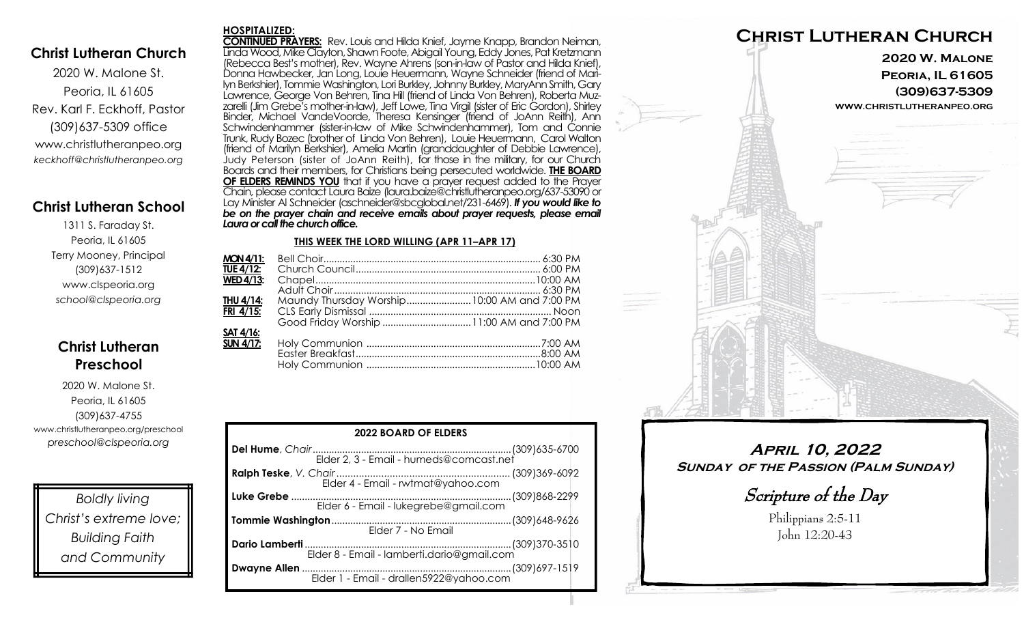## **Christ Lutheran Church**

**HOSPITALIZED:**

2020 W. Malone St. Peoria, IL 61605 Rev. Karl F. Eckhoff, Pastor (309)637-5309 office www.christlutheranpeo.org *keckhoff@christlutheranpeo.org*

## **Christ Lutheran School**

1311 S. Faraday St. Peoria, IL 61605 Terry Mooney, Principal (309)637-1512 www.clspeoria.org *school@clspeoria.org*

# **Christ Lutheran Preschool**

2020 W. Malone St. Peoria, IL 61605 (309)637-4755 www.christlutheranpeo.org/preschool *preschool@clspeoria.org*

*Boldly living Christ's extreme love; Building Faith and Community*

**CONTINUED PRAYERS:** Rev. Louis and Hilda Knief, Jayme Knapp, Brandon Neiman, Linda Wood, Mike Clayton, Shawn Foote, Abigail Young, Eddy Jones, Pat Kretzmann (Rebecca Best's mother), Rev. Wayne Ahrens (son-in-law of Pastor and Hilda Knief), Donna Hawbecker, Jan Long, Louie Heuermann, Wayne Schneider (friend of Marilyn Berkshier), Tommie Washington, Lori Burkley, Johnny Burkley, MaryAnn Smith, Gary Lawrence, George Von Behren, Tina Hill (friend of Linda Von Behren), Roberta Muzzarelli (Jim Grebe's mother-in-law), Jeff Lowe, Tina Virgil (sister of Eric Gordon), Shirley Binder, Michael VandeVoorde, Theresa Kensinger (friend of JoAnn Reith), Ann Schwindenhammer (sister-in-law of Mike Schwindenhammer), Tom and Connie Trunk, Rudy Bozec (brother of Linda Von Behren), Louie Heuermann, Carol Walton (friend of Marilyn Berkshier), Amelia Martin (granddaughter of Debbie Lawrence), Judy Peterson (sister of JoAnn Reith), for those in the military, for our Church Boards and their members, for Christians being persecuted worldwide. **THE BOARD OF ELDERS REMINDS YOU** that if you have a prayer request added to the Prayer Chain, please contact Laura Baize (laura.baize@christlutheranpeo.org/637-53090 or Lay Minister Al Schneider (aschneider@sbcglobal.net/231-6469). *If you would like to*  be on the prayer chain and receive emails about prayer requests, please email *Laura or call the church office.*

#### **THIS WEEK THE LORD WILLING (APR 11–APR 17)**

| <b>MON 4/11:</b>        |                                              |  |
|-------------------------|----------------------------------------------|--|
| <b>TUE 4/12:</b>        |                                              |  |
| $WED$ 4/13:             |                                              |  |
|                         |                                              |  |
| THU 4/14:               | Maundy Thursday Worship 10:00 AM and 7:00 PM |  |
| FRI 4/15:               |                                              |  |
|                         |                                              |  |
| <b>SAT 4/16:</b>        |                                              |  |
| SUN $\overline{4/17}$ : |                                              |  |
|                         |                                              |  |
|                         |                                              |  |
|                         |                                              |  |

| <b>2022 BOARD OF ELDERS</b>             |  |  |
|-----------------------------------------|--|--|
|                                         |  |  |
|                                         |  |  |
| Elder 6 - Email - lukegrebe@gmail.com   |  |  |
| Elder 7 - No Email                      |  |  |
|                                         |  |  |
| Elder 1 - Email - drallen5922@yahoo.com |  |  |



**April 10, 2022 Sunday of the Passion (Palm Sunday)**

Scripture of the Day

Philippians 2:5-11 John 12:20-43